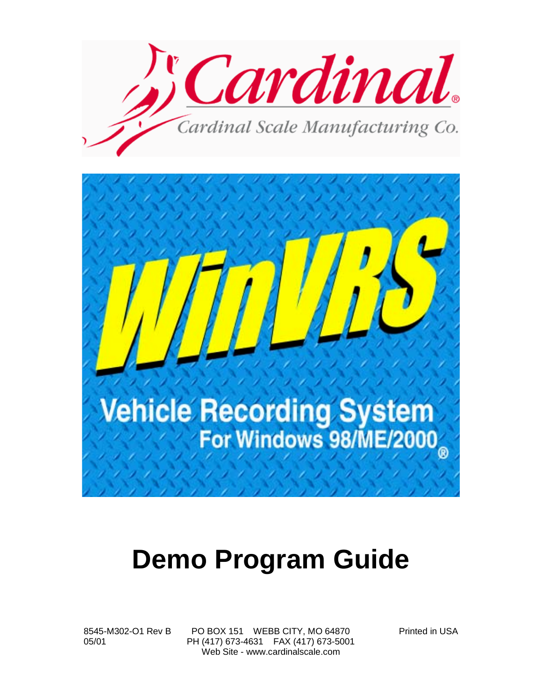

## **Demo Program Guide**

8545-M302-O1 Rev B PO BOX 151 WEBB CITY, MO 64870 Printed in USA 05/01 PH (417) 673-4631 FAX (417) 673-5001 Web Site - www.cardinalscale.com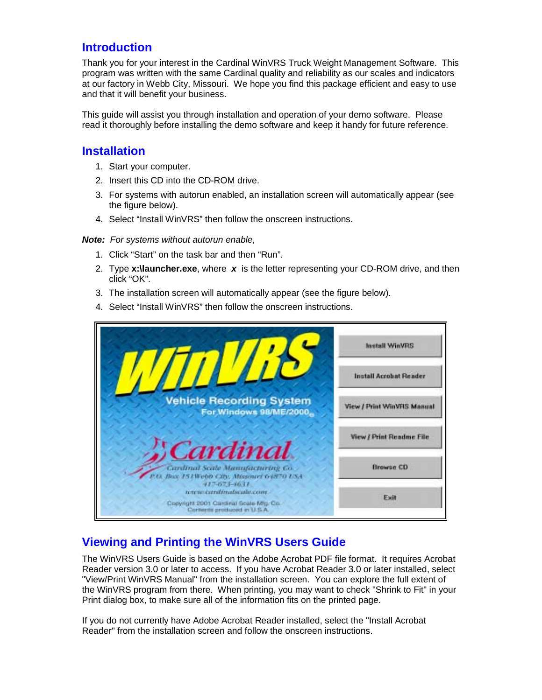#### **Introduction**

Thank you for your interest in the Cardinal WinVRS Truck Weight Management Software. This program was written with the same Cardinal quality and reliability as our scales and indicators at our factory in Webb City, Missouri. We hope you find this package efficient and easy to use and that it will benefit your business.

This guide will assist you through installation and operation of your demo software. Please read it thoroughly before installing the demo software and keep it handy for future reference.

#### **Installation**

- 1. Start your computer.
- 2. Insert this CD into the CD-ROM drive.
- 3. For systems with autorun enabled, an installation screen will automatically appear (see the figure below).
- 4. Select "Install WinVRS" then follow the onscreen instructions.

#### **Note:** For systems without autorun enable,

- 1. Click "Start" on the task bar and then "Run".
- 2. Type **x:\launcher.exe**, where **x** is the letter representing your CD-ROM drive, and then click "OK".
- 3. The installation screen will automatically appear (see the figure below).
- 4. Select "Install WinVRS" then follow the onscreen instructions.



#### **Viewing and Printing the WinVRS Users Guide**

The WinVRS Users Guide is based on the Adobe Acrobat PDF file format. It requires Acrobat Reader version 3.0 or later to access. If you have Acrobat Reader 3.0 or later installed, select "View/Print WinVRS Manual" from the installation screen. You can explore the full extent of the WinVRS program from there. When printing, you may want to check "Shrink to Fit" in your Print dialog box, to make sure all of the information fits on the printed page.

If you do not currently have Adobe Acrobat Reader installed, select the "Install Acrobat Reader" from the installation screen and follow the onscreen instructions.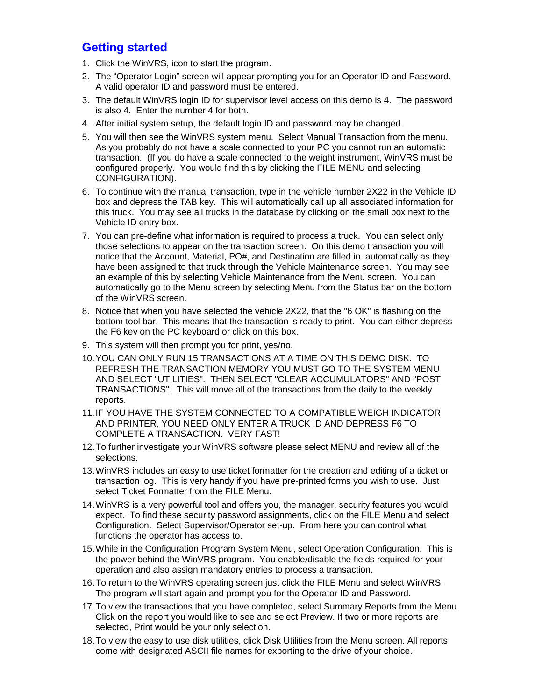### **Getting started**

- 1. Click the WinVRS, icon to start the program.
- 2. The "Operator Login" screen will appear prompting you for an Operator ID and Password. A valid operator ID and password must be entered.
- 3. The default WinVRS login ID for supervisor level access on this demo is 4. The password is also 4. Enter the number 4 for both.
- 4. After initial system setup, the default login ID and password may be changed.
- 5. You will then see the WinVRS system menu. Select Manual Transaction from the menu. As you probably do not have a scale connected to your PC you cannot run an automatic transaction. (If you do have a scale connected to the weight instrument, WinVRS must be configured properly. You would find this by clicking the FILE MENU and selecting CONFIGURATION).
- 6. To continue with the manual transaction, type in the vehicle number 2X22 in the Vehicle ID box and depress the TAB key. This will automatically call up all associated information for this truck. You may see all trucks in the database by clicking on the small box next to the Vehicle ID entry box.
- 7. You can pre-define what information is required to process a truck. You can select only those selections to appear on the transaction screen. On this demo transaction you will notice that the Account, Material, PO#, and Destination are filled in automatically as they have been assigned to that truck through the Vehicle Maintenance screen. You may see an example of this by selecting Vehicle Maintenance from the Menu screen. You can automatically go to the Menu screen by selecting Menu from the Status bar on the bottom of the WinVRS screen.
- 8. Notice that when you have selected the vehicle 2X22, that the "6 OK" is flashing on the bottom tool bar. This means that the transaction is ready to print. You can either depress the F6 key on the PC keyboard or click on this box.
- 9. This system will then prompt you for print, yes/no.
- 10. YOU CAN ONLY RUN 15 TRANSACTIONS AT A TIME ON THIS DEMO DISK. TO REFRESH THE TRANSACTION MEMORY YOU MUST GO TO THE SYSTEM MENU AND SELECT "UTILITIES". THEN SELECT "CLEAR ACCUMULATORS" AND "POST TRANSACTIONS". This will move all of the transactions from the daily to the weekly reports.
- 11. IF YOU HAVE THE SYSTEM CONNECTED TO A COMPATIBLE WEIGH INDICATOR AND PRINTER, YOU NEED ONLY ENTER A TRUCK ID AND DEPRESS F6 TO COMPLETE A TRANSACTION. VERY FAST!
- 12. To further investigate your WinVRS software please select MENU and review all of the selections.
- 13. WinVRS includes an easy to use ticket formatter for the creation and editing of a ticket or transaction log. This is very handy if you have pre-printed forms you wish to use. Just select Ticket Formatter from the FILE Menu.
- 14. WinVRS is a very powerful tool and offers you, the manager, security features you would expect. To find these security password assignments, click on the FILE Menu and select Configuration. Select Supervisor/Operator set-up. From here you can control what functions the operator has access to.
- 15. While in the Configuration Program System Menu, select Operation Configuration. This is the power behind the WinVRS program. You enable/disable the fields required for your operation and also assign mandatory entries to process a transaction.
- 16. To return to the WinVRS operating screen just click the FILE Menu and select WinVRS. The program will start again and prompt you for the Operator ID and Password.
- 17. To view the transactions that you have completed, select Summary Reports from the Menu. Click on the report you would like to see and select Preview. If two or more reports are selected, Print would be your only selection.
- 18. To view the easy to use disk utilities, click Disk Utilities from the Menu screen. All reports come with designated ASCII file names for exporting to the drive of your choice.